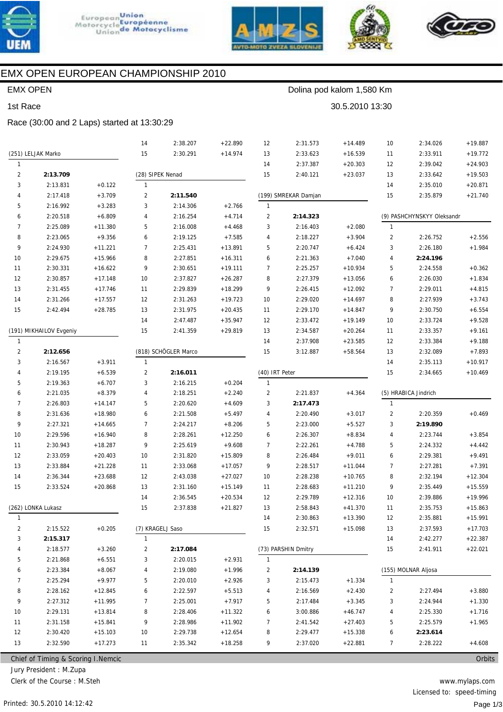





30.5.2010 13:30

Dolina pod kalom 1,580 Km



# EMX OPEN EUROPEAN CHAMPIONSHIP 2010

### **EMX OPEN**

### 1st Race

### Race (30:00 and 2 Laps) started at 13:30:29

|                    |                                     |                        | 14             | 2:38.207             | $+22.890$              | 12             | 2:31.573             | $+14.489$              | 10             | 2:34.026                   | $+19.887$              |  |
|--------------------|-------------------------------------|------------------------|----------------|----------------------|------------------------|----------------|----------------------|------------------------|----------------|----------------------------|------------------------|--|
|                    | (251) LELJAK Marko                  |                        | 15             | 2:30.291             | $+14.974$              | 13             | 2:33.623             | $+16.539$              | 11             | 2:33.911                   | $+19.772$              |  |
| $\mathbf{1}$       |                                     |                        |                |                      |                        | 14             | 2:37.387             | $+20.303$              | 12             | 2:39.042                   | $+24.903$              |  |
| $\overline{2}$     | 2:13.709                            |                        |                | (28) SIPEK Nenad     |                        | 15             | 2:40.121             | $+23.037$              | 13             | 2:33.642                   | $+19.503$              |  |
| 3                  | 2:13.831                            | $+0.122$               | $\mathbf{1}$   |                      |                        |                |                      |                        | 14             | 2:35.010                   | $+20.871$              |  |
| 4                  | 2:17.418                            | $+3.709$               | $\overline{2}$ | 2:11.540             |                        |                | (199) SMREKAR Damjan |                        | 15             | 2:35.879                   | $+21.740$              |  |
| 5                  | 2:16.992                            | $+3.283$               | 3              | 2:14.306             | $+2.766$               | $\mathbf{1}$   |                      |                        |                |                            |                        |  |
| 6                  | 2:20.518                            | $+6.809$               | 4              | 2:16.254             | $+4.714$               | 2              | 2:14.323             |                        |                | (9) PASHCHYNSKYY Oleksandr |                        |  |
| $\overline{7}$     | 2:25.089                            | $+11.380$              | 5              | 2:16.008             | $+4.468$               | 3              | 2:16.403             | $+2.080$               | $\mathbf{1}$   |                            |                        |  |
| 8                  | 2:23.065                            | $+9.356$               | 6              | 2:19.125             | $+7.585$               | 4              | 2:18.227             | $+3.904$               | 2              | 2:26.752                   | $+2.556$               |  |
| 9                  | 2:24.930                            | $+11.221$              | $\overline{7}$ | 2:25.431             | $+13.891$              | 5              | 2:20.747             | $+6.424$               | 3              | 2:26.180                   | $+1.984$               |  |
| 10                 | 2:29.675                            | $+15.966$              | 8              | 2:27.851             | $+16.311$              | 6              | 2:21.363             | $+7.040$               | 4              | 2:24.196                   |                        |  |
| 11                 | 2:30.331                            | $+16.622$              | 9              | 2:30.651             | $+19.111$              | 7              | 2:25.257             | $+10.934$              | 5              | 2:24.558                   | $+0.362$               |  |
| 12                 | 2:30.857                            | $+17.148$              | 10             | 2:37.827             | $+26.287$              | 8              | 2:27.379             | $+13.056$              | 6              | 2:26.030                   | $+1.834$               |  |
| 13                 | 2:31.455                            | $+17.746$              | 11             | 2:29.839             | $+18.299$              | 9              | 2:26.415             | $+12.092$              | $\overline{7}$ | 2:29.011                   | $+4.815$               |  |
| 14                 | 2:31.266                            | $+17.557$              | 12             | 2:31.263             | $+19.723$              | 10             | 2:29.020             | $+14.697$              | 8              | 2:27.939                   | $+3.743$               |  |
| 15                 | 2:42.494                            | $+28.785$              | 13             | 2:31.975             | $+20.435$              | 11             | 2:29.170             | $+14.847$              | 9              | 2:30.750                   | $+6.554$               |  |
|                    |                                     |                        | 14             | 2:47.487             | $+35.947$              | 12             | 2:33.472             | $+19.149$              | 10             | 2:33.724                   | $+9.528$               |  |
|                    | (191) MIKHAILOV Evgeniy             |                        | 15             | 2:41.359             | $+29.819$              | 13             | 2:34.587             | $+20.264$              | 11             | 2:33.357                   | $+9.161$               |  |
| $\mathbf{1}$       |                                     |                        |                |                      |                        | 14             | 2:37.908             | $+23.585$              | 12             | 2:33.384                   | $+9.188$               |  |
| $\overline{2}$     | 2:12.656                            |                        |                | (818) SCHÖGLER Marco |                        | 15             | 3:12.887             | $+58.564$              | 13             | 2:32.089                   | $+7.893$               |  |
| 3                  | 2:16.567                            | $+3.911$               | $\mathbf{1}$   |                      |                        |                |                      |                        | 14             | 2:35.113                   | $+10.917$              |  |
| 4                  | 2:19.195                            | $+6.539$               | $\overline{2}$ | 2:16.011             |                        | (40) IRT Peter |                      |                        | 15             | 2:34.665                   | $+10.469$              |  |
| 5                  | 2:19.363                            | $+6.707$               | 3              | 2:16.215             | $+0.204$               | $\mathbf{1}$   |                      |                        |                |                            |                        |  |
| 6                  | 2:21.035                            | $+8.379$               | 4              | 2:18.251             | $+2.240$               | 2              | 2:21.837             | $+4.364$               |                | (5) HRABICA Jindrich       |                        |  |
| $\overline{7}$     | 2:26.803                            | $+14.147$              | 5              | 2:20.620             | $+4.609$               | 3              | 2:17.473             |                        | $\mathbf{1}$   |                            |                        |  |
| 8                  | 2:31.636                            | $+18.980$              | 6              | 2:21.508             | $+5.497$               | 4              | 2:20.490             | $+3.017$               | 2              | 2:20.359                   | $+0.469$               |  |
| 9                  | 2:27.321                            | $+14.665$              | $\overline{7}$ | 2:24.217             | $+8.206$               | 5              | 2:23.000             | $+5.527$               | 3              | 2:19.890                   |                        |  |
| 10                 | 2:29.596                            | $+16.940$              | 8              | 2:28.261             | $+12.250$              | 6              | 2:26.307             | $+8.834$               | 4              | 2:23.744                   | $+3.854$               |  |
| 11                 | 2:30.943                            | $+18.287$              | 9              | 2:25.619             | $+9.608$               | $\overline{7}$ | 2:22.261             | $+4.788$               | 5              | 2:24.332                   | $+4.442$               |  |
| 12                 | 2:33.059                            | $+20.403$              | 10             | 2:31.820             | $+15.809$              | 8              | 2:26.484             | $+9.011$               | 6              | 2:29.381                   | $+9.491$               |  |
| 13                 | 2:33.884                            | $+21.228$              | 11             | 2:33.068             | $+17.057$              | 9              | 2:28.517             | $+11.044$              | $\overline{7}$ | 2:27.281                   | $+7.391$               |  |
| 14                 | 2:36.344                            | $+23.688$              | 12             | 2:43.038             | $+27.027$              | 10             | 2:28.238             | $+10.765$              | 8              | 2:32.194                   | $+12.304$              |  |
| 15                 | 2:33.524                            | $+20.868$              | 13             | 2:31.160             | $+15.149$              | 11             | 2:28.683             | $+11.210$              | 9              | 2:35.449                   | $+15.559$              |  |
|                    |                                     |                        | 14             | 2:36.545             | $+20.534$              | 12             | 2:29.789             | $+12.316$              | 10             | 2:39.886                   | $+19.996$              |  |
| (262) LONKA Lukasz |                                     | 15                     | 2:37.838       | $+21.827$            | 13                     | 2:58.843       | $+41.370$            | 11                     | 2:35.753       | $+15.863$                  |                        |  |
|                    |                                     |                        |                |                      |                        | 14             | 2:30.863             | $+13.390$              | 12             | 2:35.881                   | $+15.991$              |  |
| $\overline{2}$     | 2:15.522                            | $+0.205$               |                | (7) KRAGELJ Saso     |                        | 15             | 2:32.571             | $+15.098$              | 13             | 2:37.593                   | $+17.703$              |  |
| 3<br>4             | 2:15.317<br>2:18.577                | $+3.260$               | 1<br>2         | 2:17.084             |                        |                | (73) PARSHIN Dmitry  |                        | 14<br>15       | 2:42.277<br>2:41.911       | $+22.387$<br>$+22.021$ |  |
| 5                  | 2:21.868                            | $+6.551$               | 3              | 2:20.015             | $+2.931$               | $\mathbf{1}$   |                      |                        |                |                            |                        |  |
|                    | 2:23.384                            | $+8.067$               | 4              | 2:19.080             | $+1.996$               | 2              | 2:14.139             |                        |                | (155) MOLNAR Aljosa        |                        |  |
| 6<br>7             | 2:25.294                            | $+9.977$               | 5              | 2:20.010             | $+2.926$               | 3              | 2:15.473             | $+1.334$               | $\mathbf{1}$   |                            |                        |  |
| 8                  | 2:28.162                            | $+12.845$              | 6              | 2:22.597             | $+5.513$               | 4              | 2:16.569             | $+2.430$               | 2              | 2:27.494                   | $+3.880$               |  |
| 9                  | 2:27.312                            | $+11.995$              | $\overline{7}$ | 2:25.001             | $+7.917$               | 5              | 2:17.484             | $+3.345$               | 3              | 2:24.944                   | $+1.330$               |  |
|                    | 2:29.131                            |                        |                |                      |                        |                |                      |                        |                |                            | $+1.716$               |  |
| 10<br>11           | 2:31.158                            | $+13.814$<br>$+15.841$ | 8<br>9         | 2:28.406<br>2:28.986 | $+11.322$<br>$+11.902$ | 6<br>7         | 3:00.886<br>2:41.542 | $+46.747$<br>$+27.403$ | 4<br>5         | 2:25.330<br>2:25.579       | $+1.965$               |  |
| 12                 | 2:30.420                            | $+15.103$              | 10             | 2:29.738             | $+12.654$              | 8              | 2:29.477             | $+15.338$              | 6              | 2:23.614                   |                        |  |
| 13                 | 2:32.590                            | $+17.273$              | 11             | 2:35.342             | $+18.258$              | 9              | 2:37.020             | $+22.881$              | 7              | 2:28.222                   | $+4.608$               |  |
|                    |                                     |                        |                |                      |                        |                |                      |                        |                |                            |                        |  |
|                    | Chief of Timing & Scoring I. Nemcic |                        |                |                      |                        |                |                      |                        |                |                            | Orbits                 |  |

Chief of Timing & Scoring I.Nemcic

Jury President : M.Zupa

Clerk of the Course: M.Steh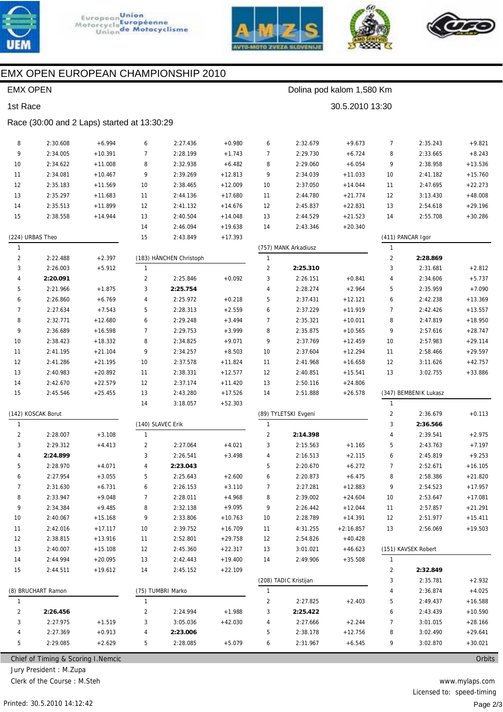







# EMX OPEN EUROPEAN CHAMPIONSHIP 2010

| <b>EMX OPEN</b>    |                                             |           | Dolina pod kalom 1,580 Km |                         |              |                      |                       |                 |                |                       |           |
|--------------------|---------------------------------------------|-----------|---------------------------|-------------------------|--------------|----------------------|-----------------------|-----------------|----------------|-----------------------|-----------|
| 1st Race           |                                             |           |                           |                         |              |                      |                       | 30.5.2010 13:30 |                |                       |           |
|                    | Race (30:00 and 2 Laps) started at 13:30:29 |           |                           |                         |              |                      |                       |                 |                |                       |           |
| 8                  | 2:30.608                                    | $+6.994$  | 6                         | 2:27.436                | $+0.980$     | 6                    | 2:32.679              | $+9.673$        | 7              | 2:35.243              | $+9.821$  |
| 9                  | 2:34.005                                    | $+10.391$ | 7                         | 2:28.199                | $+1.743$     | $\overline{7}$       | 2:29.730              | $+6.724$        | 8              | 2:33.665              | $+8.243$  |
| 10                 | 2:34.622                                    | $+11.008$ | 8                         | 2:32.938                | $+6.482$     | 8                    | 2:29.060              | $+6.054$        | 9              | 2:38.958              | $+13.536$ |
| 11                 | 2:34.081                                    | $+10.467$ | 9                         | 2:39.269                | $+12.813$    | 9                    | 2:34.039              | $+11.033$       | 10             | 2:41.182              | $+15.760$ |
| 12                 | 2:35.183                                    | $+11.569$ | 10                        | 2:38.465                | $+12.009$    | 10                   | 2:37.050              | $+14.044$       | 11             | 2:47.695              | $+22.273$ |
| 13                 | 2:35.297                                    | $+11.683$ | 11                        | 2:44.136                | $+17.680$    | 11                   | 2:44.780              | $+21.774$       | 12             | 3:13.430              | $+48.008$ |
| 14                 | 2:35.513                                    | $+11.899$ | 12                        | 2:41.132                | $+14.676$    | 12                   | 2:45.837              | $+22.831$       | 13             | 2:54.618              | $+29.196$ |
| 15                 | 2:38.558                                    | $+14.944$ | 13                        | 2:40.504                | $+14.048$    | 13                   | 2:44.529              | $+21.523$       | 14             | 2:55.708              | $+30.286$ |
|                    |                                             |           | 14                        | 2:46.094                | $+19.638$    | 14                   | 2:43.346              | $+20.340$       |                |                       |           |
| (224) URBAS Theo   |                                             |           | 15                        | 2:43.849                | $+17.393$    |                      |                       |                 |                | (411) PANCAR Igor     |           |
| $\mathbf{1}$       |                                             |           |                           |                         |              | (757) MANK Arkadiusz |                       |                 | $\mathbf{1}$   |                       |           |
| $\overline{2}$     | 2:22.488                                    | $+2.397$  |                           | (183) HÄNCHEN Christoph |              | $\mathbf{1}$         |                       |                 | $\overline{2}$ | 2:28.869              |           |
| 3                  | 2:26.003                                    | $+5.912$  | $\mathbf{1}$              |                         |              | $\overline{2}$       | 2:25.310              |                 | 3              | 2:31.681              | $+2.812$  |
| 4                  | 2:20.091                                    |           | $\overline{2}$            | 2:25.846                | $+0.092$     | 3                    | 2:26.151              | $+0.841$        | 4              | 2:34.606              | $+5.737$  |
| 5                  | 2:21.966                                    | $+1.875$  | 3                         | 2:25.754                |              | 4                    | 2:28.274              | $+2.964$        | 5              | 2:35.959              | $+7.090$  |
| 6                  | 2:26.860                                    | $+6.769$  | 4                         | 2:25.972                | $+0.218$     | 5                    | 2:37.431              | $+12.121$       | 6              | 2:42.238              | $+13.369$ |
| 7                  | 2:27.634                                    | $+7.543$  | 5                         | 2:28.313                | $+2.559$     | 6                    | 2:37.229              | $+11.919$       | 7              | 2:42.426              | $+13.557$ |
| 8                  | 2:32.771                                    | $+12.680$ | 6                         | 2:29.248                | $+3.494$     | 7                    | 2:35.321              | $+10.011$       | 8              | 2:47.819              | $+18.950$ |
| 9                  | 2:36.689                                    | $+16.598$ | 7                         | 2:29.753                | $+3.999$     | 8                    | 2:35.875              | $+10.565$       | 9              | 2:57.616              | $+28.747$ |
| 10                 | 2:38.423                                    | $+18.332$ | 8                         | 2:34.825                | $+9.071$     | 9                    | 2:37.769              | $+12.459$       | 10             | 2:57.983              | $+29.114$ |
| 11                 | 2:41.195                                    | $+21.104$ | 9                         | 2:34.257                | $+8.503$     | 10                   | 2:37.604              | $+12.294$       | 11             | 2:58.466              | $+29.597$ |
| 12                 | 2:41.286                                    | $+21.195$ | 10                        | 2:37.578                | $+11.824$    | 11                   | 2:41.968              | $+16.658$       | 12             | 3:11.626              | $+42.757$ |
| 13                 | 2:40.983                                    | $+20.892$ | 11                        | 2:38.331                | $+12.577$    | 12                   | 2:40.851              | $+15.541$       | 13             | 3:02.755              | $+33.886$ |
| 14                 | 2:42.670                                    | $+22.579$ | 12                        | 2:37.174                | $+11.420$    | 13                   | 2:50.116              | $+24.806$       |                |                       |           |
| 15                 | 2:45.546                                    | $+25.455$ | 13                        | 2:43.280                | $+17.526$    | 14                   | 2:51.888              | $+26.578$       |                | (347) BEMBENIK Lukasz |           |
|                    |                                             |           | 14                        | 3:18.057                | $+52.303$    |                      |                       |                 | $\mathbf{1}$   |                       |           |
| (142) KOSCAK Borut |                                             |           |                           |                         |              |                      | (89) TYLETSKI Evgeni  |                 | $\overline{2}$ | 2:36.679              | $+0.113$  |
| $\mathbf{1}$       |                                             |           |                           | (140) SLAVEC Erik       |              | $\mathbf{1}$         |                       |                 | 3              | 2:36.566              |           |
| 2                  | 2:28.007                                    | $+3.108$  | $\mathbf{1}$              |                         |              | $\overline{2}$       | 2:14.398              |                 | 4              | 2:39.541              | $+2.975$  |
| 3                  | 2:29.312                                    | $+4.413$  | $\overline{\mathbf{c}}$   | 2:27.064                | $+4.021$     | 3                    | 2:15.563              | $+1.165$        | 5              | 2:43.763              | $+7.197$  |
| 4                  | 2:24.899                                    |           | 3                         | 2:26.541                | $+3.498$     | 4                    | 2:16.513              | $+2.115$        | 6              | 2:45.819              | $+9.253$  |
| 5                  | 2:28.970                                    | $+4.071$  | 4                         | 2:23.043                |              | 5                    | 2:20.670              | $+6.272$        | $\overline{7}$ | 2:52.671              | $+16.105$ |
| 6                  | 2:27.954                                    | $+3.055$  | 5                         | 2:25.643                | $+2.600$     | 6                    | 2:20.873              | $+6.475$        | 8              | 2:58.386              | $+21.820$ |
| $\overline{7}$     | 2:31.630                                    | $+6.731$  | 6                         | 2:26.153                | $+3.110$     | 7                    | 2:27.281              | $+12.883$       | 9              | 2:54.523              | $+17.957$ |
| 8                  | 2:33.947                                    | $+9.048$  | 7                         | 2:28.011                | $+4.968$     | 8                    | 2:39.002              | $+24.604$       | 10             | 2:53.647              | $+17.081$ |
| 9                  | 2:34.384                                    | $+9.485$  | 8                         | 2:32.138                | $+9.095$     | 9                    | 2:26.442              | $+12.044$       | 11             | 2:57.857              | $+21.291$ |
| 10                 | 2:40.067                                    | $+15.168$ | 9                         | 2:33.806                | $+10.763$    | 10                   | 2:28.789              | $+14.391$       | 12             | 2:51.977              | $+15.411$ |
| 11                 | 2:42.016                                    | $+17.117$ | 10                        | 2:39.752                | $+16.709$    | 11                   | 4:31.255              | $+2:16.857$     | 13             | 2:56.069              | $+19.503$ |
| 12                 | 2:38.815                                    | $+13.916$ | 11                        | 2:52.801                | $+29.758$    | 12                   | 2:54.826              | $+40.428$       |                |                       |           |
| 13                 | 2:40.007                                    | $+15.108$ | 12                        | 2:45.360                | $+22.317$    | 13                   | 3:01.021              | $+46.623$       |                | (151) KAVSEK Robert   |           |
| 14                 | 2:44.994                                    | $+20.095$ | 13                        | 2:42.443                | $+19.400$    | 14                   | 2:49.906              | $+35.508$       | $\mathbf{1}$   |                       |           |
| 15                 | 2:44.511                                    | $+19.612$ | 14                        | 2:45.152                | $+22.109$    |                      |                       |                 | $\overline{2}$ | 2:32.849              |           |
|                    |                                             |           |                           |                         |              |                      | (208) TADIC Kristijan |                 | 3              | 2:35.781              | $+2.932$  |
| (8) BRUCHART Ramon |                                             |           | (75) TUMBRI Marko         |                         | $\mathbf{1}$ |                      |                       | 4               | 2:36.874       | $+4.025$              |           |
| $\mathbf{1}$       |                                             |           | $\mathbf{1}$              |                         |              | 2                    | 2:27.825              | $+2.403$        | 5              | 2:49.437              | $+16.588$ |
| 2                  | 2:26.456                                    |           | 2                         | 2:24.994                | $+1.988$     | 3                    | 2:25.422              |                 | 6              | 2:43.439              | $+10.590$ |
| 3                  | 2:27.975                                    | $+1.519$  | 3                         | 3:05.036                | $+42.030$    | 4                    | 2:27.666              | $+2.244$        | 7              | 3:01.015              | $+28.166$ |
| 4                  | 2:27.369                                    | $+0.913$  | 4                         | 2:23.006                |              | 5                    | 2:38.178              | $+12.756$       | 8              | 3:02.490              | $+29.641$ |
| 5                  | 2:29.085                                    | $+2.629$  | 5                         | 2:28.085                | $+5.079$     | 6                    | 2:31.967              | $+6.545$        | 9              | 3:02.870              | $+30.021$ |
|                    |                                             |           |                           |                         |              |                      |                       |                 |                |                       |           |

Chief of Timing & Scoring I.Nemcic

Jury President : M.Zupa

Clerk of the Course : M.Steh

**Orbits**